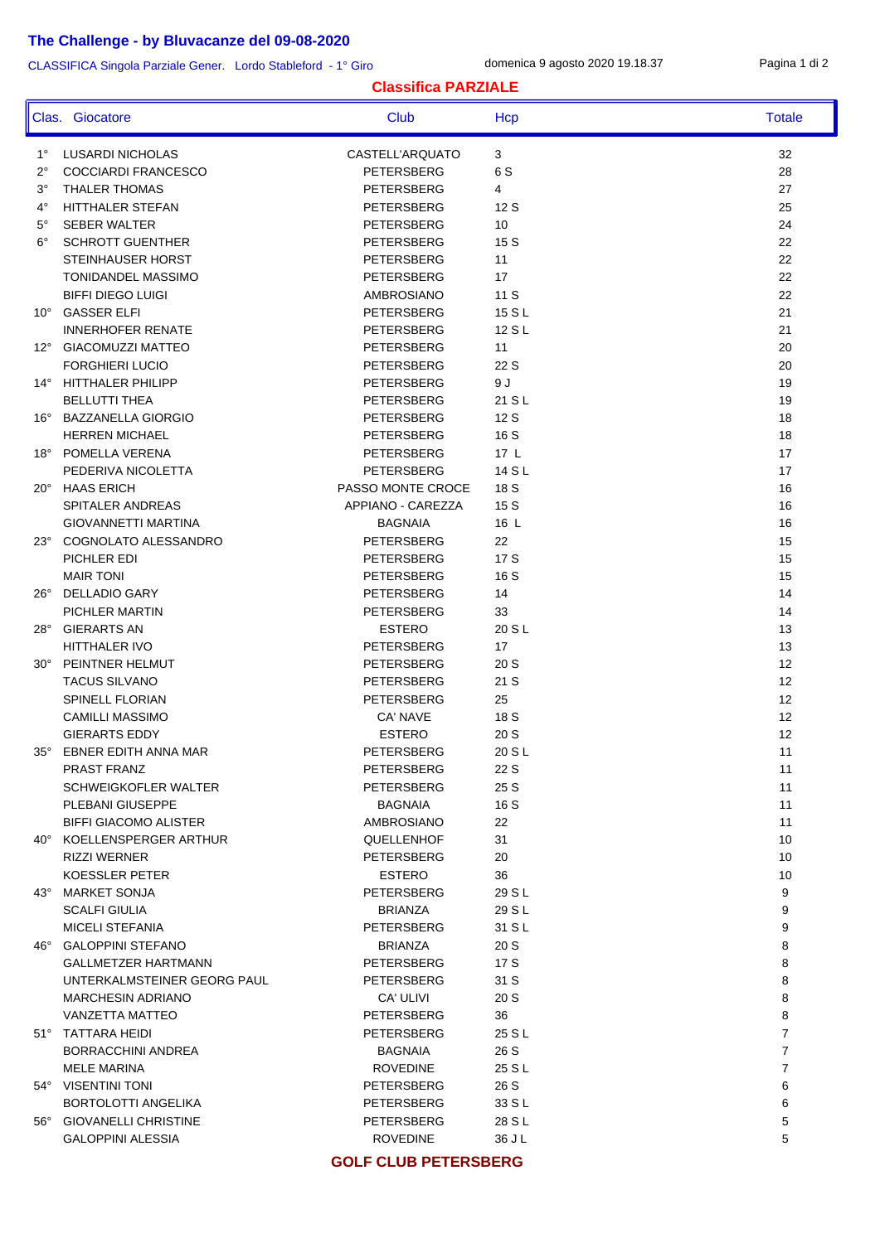## **The Challenge - by Bluvacanze del 09-08-2020**

CLASSIFICA Singola Parziale Gener. Lordo Stableford - 1° Giro

domenica 9 agosto 2020 19.18.37 Pagina 1 di 2

## **Classifica PARZIALE**

|              | Clas. Giocatore              | Club              | Hcp    | <b>Totale</b>  |
|--------------|------------------------------|-------------------|--------|----------------|
| $1^{\circ}$  | LUSARDI NICHOLAS             | CASTELL'ARQUATO   | 3      | 32             |
| $2^{\circ}$  | <b>COCCIARDI FRANCESCO</b>   | PETERSBERG        | 6 S    | 28             |
| $3^\circ$    | <b>THALER THOMAS</b>         | PETERSBERG        | 4      | 27             |
| $4^{\circ}$  | <b>HITTHALER STEFAN</b>      | PETERSBERG        | 12 S   | 25             |
| $5^{\circ}$  | <b>SEBER WALTER</b>          | PETERSBERG        | 10     | 24             |
| $6^{\circ}$  | <b>SCHROTT GUENTHER</b>      | PETERSBERG        | 15 S   | 22             |
|              | STEINHAUSER HORST            | PETERSBERG        | 11     | 22             |
|              | TONIDANDEL MASSIMO           | PETERSBERG        | 17     | 22             |
|              | <b>BIFFI DIEGO LUIGI</b>     | AMBROSIANO        | 11 S   | 22             |
| $10^{\circ}$ | <b>GASSER ELFI</b>           | PETERSBERG        | 15 S L | 21             |
|              | <b>INNERHOFER RENATE</b>     | PETERSBERG        | 12 S L | 21             |
|              | 12° GIACOMUZZI MATTEO        | PETERSBERG        | 11     | 20             |
|              | <b>FORGHIERI LUCIO</b>       | PETERSBERG        | 22 S   | 20             |
|              | 14° HITTHALER PHILIPP        | PETERSBERG        | 9 J    | 19             |
|              | <b>BELLUTTI THEA</b>         | PETERSBERG        | 21 S L | 19             |
|              | 16° BAZZANELLA GIORGIO       | PETERSBERG        | 12 S   | 18             |
|              | <b>HERREN MICHAEL</b>        | PETERSBERG        | 16 S   | 18             |
|              | 18° POMELLA VERENA           | PETERSBERG        | 17L    | 17             |
|              | PEDERIVA NICOLETTA           | PETERSBERG        | 14 S L | 17             |
|              | 20° HAAS ERICH               | PASSO MONTE CROCE | 18 S   | 16             |
|              | SPITALER ANDREAS             | APPIANO - CAREZZA | 15 S   | 16             |
|              | GIOVANNETTI MARTINA          | <b>BAGNAIA</b>    | 16 L   | 16             |
| $23^\circ$   | COGNOLATO ALESSANDRO         | PETERSBERG        | 22     | 15             |
|              | PICHLER EDI                  | PETERSBERG        | 17 S   | 15             |
|              | <b>MAIR TONI</b>             | PETERSBERG        | 16 S   | 15             |
| $26^{\circ}$ | <b>DELLADIO GARY</b>         | PETERSBERG        | 14     | 14             |
|              | PICHLER MARTIN               | PETERSBERG        | 33     | 14             |
| 28°          | <b>GIERARTS AN</b>           | <b>ESTERO</b>     | 20 S L | 13             |
|              | HITTHALER IVO                | PETERSBERG        | 17     | 13             |
| $30^\circ$   | PEINTNER HELMUT              | PETERSBERG        | 20S    | 12             |
|              | <b>TACUS SILVANO</b>         | PETERSBERG        | 21 S   | 12             |
|              | SPINELL FLORIAN              | PETERSBERG        | 25     | 12             |
|              | <b>CAMILLI MASSIMO</b>       | CA' NAVE          | 18 S   | 12             |
|              | <b>GIERARTS EDDY</b>         | <b>ESTERO</b>     | 20S    | 12             |
| 35°          | EBNER EDITH ANNA MAR         | PETERSBERG        | 20 S L | 11             |
|              | PRAST FRANZ                  | PETERSBERG        | 22 S   | 11             |
|              | SCHWEIGKOFLER WALTER         | PETERSBERG        | 25 S   | 11             |
|              | PLEBANI GIUSEPPE             | <b>BAGNAIA</b>    | 16 S   | 11             |
|              | <b>BIFFI GIACOMO ALISTER</b> | AMBROSIANO        | 22     | 11             |
|              | 40° KOELLENSPERGER ARTHUR    | QUELLENHOF        | 31     | 10             |
|              | <b>RIZZI WERNER</b>          | PETERSBERG        | 20     | 10             |
|              | KOESSLER PETER               | <b>ESTERO</b>     | 36     | 10             |
|              | 43° MARKET SONJA             | PETERSBERG        | 29 S L | 9              |
|              | <b>SCALFI GIULIA</b>         | <b>BRIANZA</b>    | 29 S L | 9              |
|              | <b>MICELI STEFANIA</b>       | <b>PETERSBERG</b> | 31 S L | 9              |
|              | 46° GALOPPINI STEFANO        | <b>BRIANZA</b>    | 20 S   | 8              |
|              | <b>GALLMETZER HARTMANN</b>   | PETERSBERG        | 17 S   | 8              |
|              | UNTERKALMSTEINER GEORG PAUL  | PETERSBERG        | 31 S   | 8              |
|              | <b>MARCHESIN ADRIANO</b>     | CA' ULIVI         | 20 S   | 8              |
|              | VANZETTA MATTEO              | PETERSBERG        | 36     | 8              |
|              | 51° TATTARA HEIDI            | PETERSBERG        | 25 S L | $\overline{7}$ |
|              | BORRACCHINI ANDREA           | <b>BAGNAIA</b>    | 26 S   | $\overline{7}$ |
|              | <b>MELE MARINA</b>           | <b>ROVEDINE</b>   | 25 S L | $\overline{7}$ |
|              | 54° VISENTINI TONI           | PETERSBERG        | 26 S   | 6              |
|              | BORTOLOTTI ANGELIKA          | PETERSBERG        | 33 S L | 6              |
| $56^{\circ}$ | <b>GIOVANELLI CHRISTINE</b>  | PETERSBERG        | 28 S L | 5              |
|              | <b>GALOPPINI ALESSIA</b>     | <b>ROVEDINE</b>   | 36 J L | 5              |
|              |                              |                   |        |                |

**GOLF CLUB PETERSBERG**